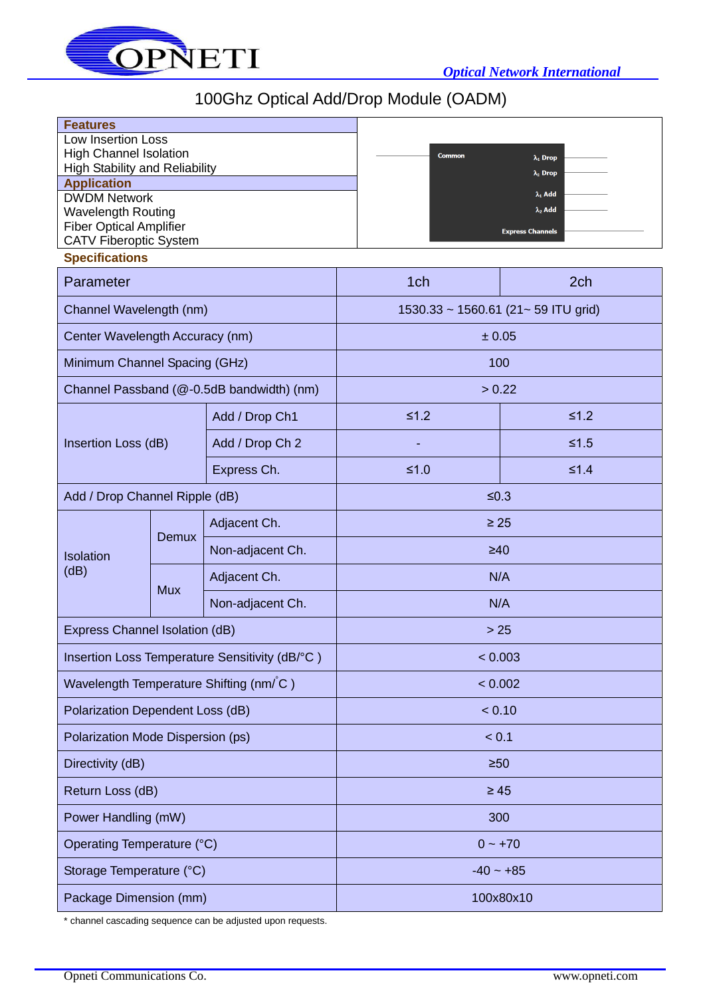

## 100Ghz Optical Add/Drop Module (OADM)

| <b>Features</b><br><b>Low Insertion Loss</b><br><b>High Channel Isolation</b><br><b>High Stability and Reliability</b><br><b>Application</b><br><b>DWDM Network</b><br><b>Wavelength Routing</b><br><b>Fiber Optical Amplifier</b><br><b>CATV Fiberoptic System</b><br><b>Specifications</b> |            |                  | <b>Common</b>                       | $\lambda_1$ Drop<br>$\lambda_2$ Drop<br>$\lambda_1$ Add<br>$\lambda_2$ Add<br><b>Express Channels</b> |  |
|----------------------------------------------------------------------------------------------------------------------------------------------------------------------------------------------------------------------------------------------------------------------------------------------|------------|------------------|-------------------------------------|-------------------------------------------------------------------------------------------------------|--|
| Parameter                                                                                                                                                                                                                                                                                    |            |                  | 1ch                                 | 2 <sub>ch</sub>                                                                                       |  |
| Channel Wavelength (nm)                                                                                                                                                                                                                                                                      |            |                  | 1530.33 ~ 1560.61 (21~ 59 ITU grid) |                                                                                                       |  |
| Center Wavelength Accuracy (nm)                                                                                                                                                                                                                                                              |            |                  | ± 0.05                              |                                                                                                       |  |
| Minimum Channel Spacing (GHz)                                                                                                                                                                                                                                                                |            |                  | 100                                 |                                                                                                       |  |
| Channel Passband (@-0.5dB bandwidth) (nm)                                                                                                                                                                                                                                                    |            |                  | > 0.22                              |                                                                                                       |  |
| Insertion Loss (dB)                                                                                                                                                                                                                                                                          |            | Add / Drop Ch1   | $≤1.2$                              | $≤1.2$                                                                                                |  |
|                                                                                                                                                                                                                                                                                              |            | Add / Drop Ch 2  |                                     | $≤1.5$                                                                                                |  |
|                                                                                                                                                                                                                                                                                              |            | Express Ch.      | $≤1.0$                              | $≤1.4$                                                                                                |  |
| Add / Drop Channel Ripple (dB)                                                                                                                                                                                                                                                               |            |                  | $≤0.3$                              |                                                                                                       |  |
| Isolation<br>(dB)                                                                                                                                                                                                                                                                            | Demux      | Adjacent Ch.     | $\geq 25$                           |                                                                                                       |  |
|                                                                                                                                                                                                                                                                                              |            | Non-adjacent Ch. | $\geq 40$                           |                                                                                                       |  |
|                                                                                                                                                                                                                                                                                              | <b>Mux</b> | Adjacent Ch.     | N/A                                 |                                                                                                       |  |
|                                                                                                                                                                                                                                                                                              |            | Non-adjacent Ch. | N/A                                 |                                                                                                       |  |
| Express Channel Isolation (dB)                                                                                                                                                                                                                                                               |            |                  | >25                                 |                                                                                                       |  |
| Insertion Loss Temperature Sensitivity (dB/°C)                                                                                                                                                                                                                                               |            |                  | < 0.003                             |                                                                                                       |  |
| Wavelength Temperature Shifting (nm/°C)                                                                                                                                                                                                                                                      |            |                  | < 0.002                             |                                                                                                       |  |
| Polarization Dependent Loss (dB)                                                                                                                                                                                                                                                             |            |                  | < 0.10                              |                                                                                                       |  |
| Polarization Mode Dispersion (ps)                                                                                                                                                                                                                                                            |            |                  | < 0.1                               |                                                                                                       |  |
| Directivity (dB)                                                                                                                                                                                                                                                                             |            |                  | $\geq 50$                           |                                                                                                       |  |
| Return Loss (dB)                                                                                                                                                                                                                                                                             |            |                  | $\geq 45$                           |                                                                                                       |  |
| Power Handling (mW)                                                                                                                                                                                                                                                                          |            |                  | 300                                 |                                                                                                       |  |
| Operating Temperature (°C)                                                                                                                                                                                                                                                                   |            |                  | $0 - +70$                           |                                                                                                       |  |
| Storage Temperature (°C)                                                                                                                                                                                                                                                                     |            |                  | $-40 - +85$                         |                                                                                                       |  |
| Package Dimension (mm)                                                                                                                                                                                                                                                                       |            |                  | 100x80x10                           |                                                                                                       |  |

\* channel cascading sequence can be adjusted upon requests.